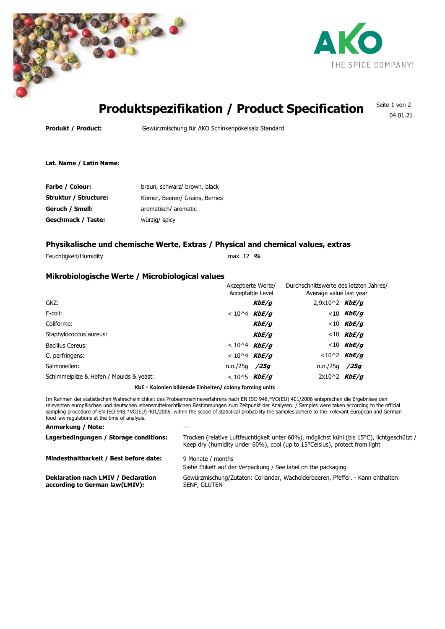



04.01.21

### **Produktspezifikation / Product Specification** Seite 1 von 2

**Produkt / Product:** Gewürzmischung für AKO Schinkenpökelsalz Standard

**Lat. Name / Latin Name:**

| Farbe / Colour:       | braun, schwarz/ brown, black    |
|-----------------------|---------------------------------|
| Struktur / Structure: | Körner, Beeren/ Grains, Berries |
| Geruch / Smell:       | aromatisch/ aromatic            |
| Geschmack / Taste:    | würzig/ spicy                   |

# **Physikalische und chemische Werte, Extras / Physical and chemical values, extras**

Feuchtigkeit/Humidity max. 12 **%**

## **Mikrobiologische Werte / Microbiological values**

|                                         | Akzeptierte Werte/<br>Acceptable Level |                  | Durchschnittswerte des letzten Jahres/<br>Average value last year |  |
|-----------------------------------------|----------------------------------------|------------------|-------------------------------------------------------------------|--|
| GKZ:                                    | KbE/q                                  | $2,9x10^2$ KbE/g |                                                                   |  |
| E-coli:                                 | $< 10^{4}$ KbE/g                       |                  | $<$ 10 KbE/q                                                      |  |
| Coliforme:                              | KbE/q                                  |                  | $< 10$ KbE/g                                                      |  |
| Staphylococcus aureus:                  | KbE/q                                  |                  | $< 10$ KbE/g                                                      |  |
| Bacillus Cereus:                        | $< 10^{4}$ KbE/g                       |                  | $< 10$ KbE/g                                                      |  |
| C. perfringens:                         | $< 10^{4}$ KbE/g                       |                  | $< 10^2$ KbE/g                                                    |  |
| Salmonellen:<br>n.n./25q                | /25a                                   | n.n./25q /25q    |                                                                   |  |
| Schimmelpilze & Hefen / Moulds & yeast: | $< 10^{5}$ KbE/g                       | $2x10^2$ KbE/g   |                                                                   |  |

**KbE = Kolonien bildende Einheiten/ colony forming units**

Im Rahmen der statistischen Wahrscheinlichkeit des Probeentnahmeverfahrens nach EN ISO 948,\*VO(EU) 401/2006 entsprechen die Ergebnisse den relevanten europäischen und deutschen lebensmittelrechtlichen Bestimmungen zum Zeitpunkt der Analysen. / Samples were taken according to the official sampling procedure of EN ISO 948,\*VO(EU) 401/2006, within the scope of statistical probability the samples adhere to the relevant European and German food law regulations at the time of analysis.

#### **Anmerkung / Note:** ---

| Lagerbedingungen / Storage conditions:                                | Trocken (relative Luftfeuchtigkeit unter 60%), möglichst kühl (bis 15°C), lichtgeschützt /<br>Keep dry (humidity under $60\%$ ), cool (up to 15 $^{\circ}$ Celsius), protect from light |
|-----------------------------------------------------------------------|-----------------------------------------------------------------------------------------------------------------------------------------------------------------------------------------|
| Mindesthaltbarkeit / Best before date:                                | 9 Monate / months<br>Siehe Etikett auf der Verpackung / See label on the packaging                                                                                                      |
| Deklaration nach LMIV / Declaration<br>according to German law(LMIV): | Gewürzmischung/Zutaten: Coriander, Wacholderbeeren, Pfeffer. - Kann enthalten:<br>SENF, GLUTEN                                                                                          |
|                                                                       |                                                                                                                                                                                         |